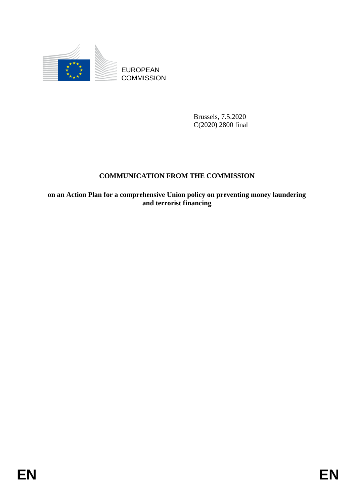

Brussels, 7.5.2020 C(2020) 2800 final

# **COMMUNICATION FROM THE COMMISSION**

EUROPEAN<br>
EUROPEAN<br>
COMMUNICATION PROM THE COMMISSION<br>
COMMUNICATION PROM THE COMMISSION<br>
on an Action Plan for a comprehensive Union policy on preventing money handering<br>
and terretest financing<br>
and terretest financing **on an Action Plan for a comprehensive Union policy on preventing money laundering and terrorist financing**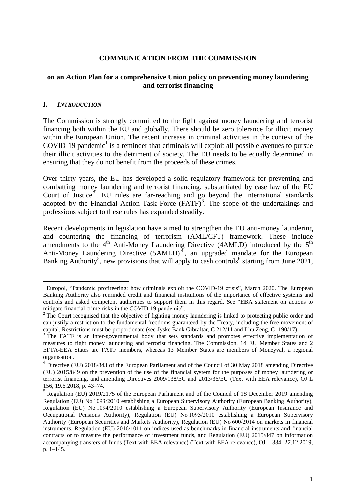#### **COMMUNICATION FROM THE COMMISSION**

### **on an Action Plan for a comprehensive Union policy on preventing money laundering and terrorist financing**

#### *I. INTRODUCTION*

 $\overline{a}$ 

The Commission is strongly committed to the fight against money laundering and terrorist financing both within the EU and globally. There should be zero tolerance for illicit money within the European Union. The recent increase in criminal activities in the context of the COVID-19 pandemic<sup>1</sup> is a reminder that criminals will exploit all possible avenues to pursue their illicit activities to the detriment of society. The EU needs to be equally determined in ensuring that they do not benefit from the proceeds of these crimes.

Over thirty years, the EU has developed a solid regulatory framework for preventing and combatting money laundering and terrorist financing, substantiated by case law of the EU Court of Justice<sup>2</sup>. EU rules are far-reaching and go beyond the international standards adopted by the Financial Action Task Force  $(FATF)^3$ . The scope of the undertakings and professions subject to these rules has expanded steadily.

Recent developments in legislation have aimed to strengthen the EU anti-money laundering and countering the financing of terrorism (AML/CFT) framework. These include amendments to the  $4<sup>th</sup>$  Anti-Money Laundering Directive (4AMLD) introduced by the  $5<sup>th</sup>$ Anti-Money Laundering Directive  $(5AMLD)^4$ , an upgraded mandate for the European Banking Authority<sup>5</sup>, new provisions that will apply to cash controls<sup>6</sup> starting from June 2021,

<sup>&</sup>lt;sup>1</sup> Europol, "Pandemic profiteering: how criminals exploit the COVID-19 crisis", March 2020. The European Banking Authority also reminded credit and financial institutions of the importance of effective systems and controls and asked competent authorities to support them in this regard. See "EBA statement on actions to mitigate financial crime risks in the COVID-19 pandemic".

<sup>&</sup>lt;sup>2</sup> The Court recognised that the objective of fighting money laundering is linked to protecting public order and can justify a restriction to the fundamental freedoms guaranteed by the Treaty, including the free movement of capital. Restrictions must be proportionate (see Jyske Bank Gibraltar, C 212/11 and Lhu Zeng, C- 190/17).

<sup>&</sup>lt;sup>3</sup> The FATF is an inter-governmental body that sets standards and promotes effective implementation of measures to fight money laundering and terrorist financing. The Commission, 14 EU Member States and 2 EFTA-EEA States are FATF members, whereas 13 Member States are members of Moneyval, a regional organisation.

<sup>&</sup>lt;sup>4</sup> Directive (EU) 2018/843 of the European Parliament and of the Council of 30 May 2018 amending Directive (EU) 2015/849 on the prevention of the use of the financial system for the purposes of money laundering or terrorist financing, and amending Directives 2009/138/EC and 2013/36/EU (Text with EEA relevance), OJ L 156, 19.6.2018, p. 43–74.

<sup>&</sup>lt;sup>5</sup> Regulation (EU) 2019/2175 of the European Parliament and of the Council of 18 December 2019 amending Regulation (EU) No 1093/2010 establishing a European Supervisory Authority (European Banking Authority), Regulation (EU) No 1094/2010 establishing a European Supervisory Authority (European Insurance and Occupational Pensions Authority), Regulation (EU) No 1095/2010 establishing a European Supervisory Authority (European Securities and Markets Authority), Regulation (EU) No 600/2014 on markets in financial instruments, Regulation (EU) 2016/1011 on indices used as benchmarks in financial instruments and financial contracts or to measure the performance of investment funds, and Regulation (EU) 2015/847 on information accompanying transfers of funds (Text with EEA relevance) (Text with EEA relevance), OJ L 334, 27.12.2019, p. 1–145.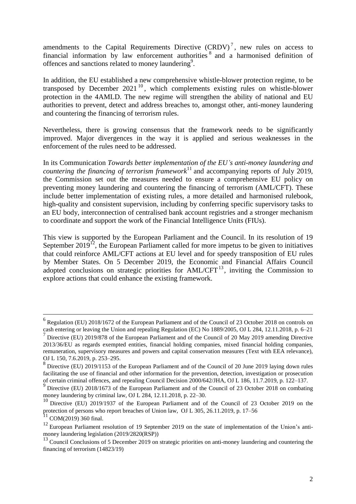amendments to the Capital Requirements Directive  $(CRDV)^7$ , new rules on access to financial information by law enforcement authorities  $\delta$  and a harmonised definition of offences and sanctions related to money laundering<sup>9</sup>.

In addition, the EU established a new comprehensive whistle-blower protection regime, to be transposed by December 2021<sup>10</sup>, which complements existing rules on whistle-blower protection in the 4AMLD. The new regime will strengthen the ability of national and EU authorities to prevent, detect and address breaches to, amongst other, anti-money laundering and countering the financing of terrorism rules.

Nevertheless, there is growing consensus that the framework needs to be significantly improved. Major divergences in the way it is applied and serious weaknesses in the enforcement of the rules need to be addressed.

In its Communication *Towards better implementation of the EU's anti-money laundering and countering the financing of terrorism framework*<sup>11</sup> and accompanying reports of July 2019, the Commission set out the measures needed to ensure a comprehensive EU policy on preventing money laundering and countering the financing of terrorism (AML/CFT). These include better implementation of existing rules, a more detailed and harmonised rulebook, high-quality and consistent supervision, including by conferring specific supervisory tasks to an EU body, interconnection of centralised bank account registries and a stronger mechanism to coordinate and support the work of the Financial Intelligence Units (FIUs).

This view is supported by the European Parliament and the Council. In its resolution of 19 September 2019<sup>12</sup>, the European Parliament called for more impetus to be given to initiatives that could reinforce AML/CFT actions at EU level and for speedy transposition of EU rules by Member States. On 5 December 2019, the Economic and Financial Affairs Council adopted conclusions on strategic priorities for  $AML/CFT<sup>13</sup>$ , inviting the Commission to explore actions that could enhance the existing framework.

<sup>6</sup> Regulation (EU) 2018/1672 of the European Parliament and of the Council of 23 October 2018 on controls on cash entering or leaving the Union and repealing Regulation (EC) No 1889/2005, OJ L 284, 12.11.2018, p. 6–21

<sup>&</sup>lt;sup>7</sup> Directive (EU) 2019/878 of the European Parliament and of the Council of 20 May 2019 amending Directive 2013/36/EU as regards exempted entities, financial holding companies, mixed financial holding companies, remuneration, supervisory measures and powers and capital conservation measures (Text with EEA relevance), OJ L 150, 7.6.2019, p. 253–295.

<sup>&</sup>lt;sup>8</sup> Directive (EU) 2019/1153 of the European Parliament and of the Council of 20 June 2019 laying down rules facilitating the use of financial and other information for the prevention, detection, investigation or prosecution

of certain criminal offences, and repealing Council Decision 2000/642/JHA, OJ L 186, 11.7.2019, p. 122–137.<br><sup>9</sup> Directive (EU) 2018/1673 of the European Parliament and of the Council of 23 October 2018 on combating money laundering by criminal law, OJ L 284, 12.11.2018, p. 22–30.

<sup>&</sup>lt;sup>10</sup> Directive (EU) 2019/1937 of the European Parliament and of the Council of 23 October 2019 on the protection of persons who report breaches of Union law, OJ L 305, 26.11.2019, p. 17–56

 $11$  COM(2019) 360 final.

<sup>&</sup>lt;sup>12</sup> European Parliament resolution of 19 September 2019 on the state of implementation of the Union's antimoney laundering legislation (2019/2820(RSP))

<sup>&</sup>lt;sup>13</sup> Council Conclusions of 5 December 2019 on strategic priorities on anti-money laundering and countering the financing of terrorism (14823/19)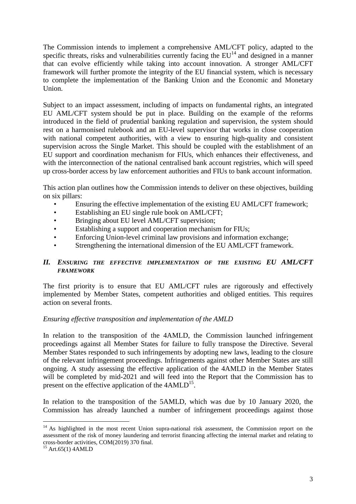The Commission intends to implement a comprehensive AML/CFT policy, adapted to the specific threats, risks and vulnerabilities currently facing the  $EU<sup>14</sup>$  and designed in a manner that can evolve efficiently while taking into account innovation. A stronger AML/CFT framework will further promote the integrity of the EU financial system, which is necessary to complete the implementation of the Banking Union and the Economic and Monetary Union.

Subject to an impact assessment, including of impacts on fundamental rights, an integrated EU AML/CFT system should be put in place. Building on the example of the reforms introduced in the field of prudential banking regulation and supervision, the system should rest on a harmonised rulebook and an EU-level supervisor that works in close cooperation with national competent authorities, with a view to ensuring high-quality and consistent supervision across the Single Market. This should be coupled with the establishment of an EU support and coordination mechanism for FIUs, which enhances their effectiveness, and with the interconnection of the national centralised bank account registries, which will speed up cross-border access by law enforcement authorities and FIUs to bank account information.

This action plan outlines how the Commission intends to deliver on these objectives, building on six pillars:

- Ensuring the effective implementation of the existing EU AML/CFT framework;
- Establishing an EU single rule book on AML/CFT;
- Bringing about EU level AML/CFT supervision;
- Establishing a support and cooperation mechanism for FIUs;
- Enforcing Union-level criminal law provisions and information exchange;
- Strengthening the international dimension of the EU AML/CFT framework.

### *II. ENSURING THE EFFECTIVE IMPLEMENTATION OF THE EXISTING EU AML/CFT FRAMEWORK*

The first priority is to ensure that EU AML/CFT rules are rigorously and effectively implemented by Member States, competent authorities and obliged entities. This requires action on several fronts.

#### *Ensuring effective transposition and implementation of the AMLD*

In relation to the transposition of the 4AMLD, the Commission launched infringement proceedings against all Member States for failure to fully transpose the Directive. Several Member States responded to such infringements by adopting new laws, leading to the closure of the relevant infringement proceedings. Infringements against other Member States are still ongoing. A study assessing the effective application of the 4AMLD in the Member States will be completed by mid-2021 and will feed into the Report that the Commission has to present on the effective application of the  $4AMLD<sup>15</sup>$ .

In relation to the transposition of the 5AMLD, which was due by 10 January 2020, the Commission has already launched a number of infringement proceedings against those

<sup>&</sup>lt;sup>14</sup> As highlighted in the most recent Union supra-national risk assessment, the Commission report on the assessment of the risk of money laundering and terrorist financing affecting the internal market and relating to cross-border activities, COM(2019) 370 final.

 $15$  Art.65(1) 4AMLD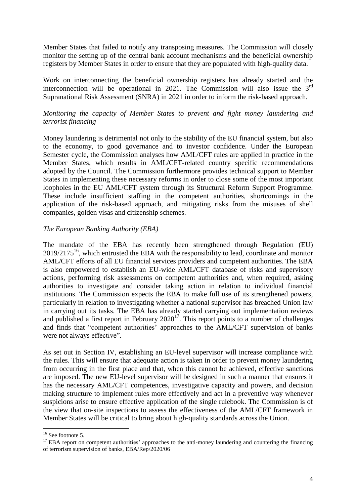Member States that failed to notify any transposing measures. The Commission will closely monitor the setting up of the central bank account mechanisms and the beneficial ownership registers by Member States in order to ensure that they are populated with high-quality data.

Work on interconnecting the beneficial ownership registers has already started and the interconnection will be operational in 2021. The Commission will also issue the  $3<sup>rd</sup>$ Supranational Risk Assessment (SNRA) in 2021 in order to inform the risk-based approach.

# *Monitoring the capacity of Member States to prevent and fight money laundering and terrorist financing*

Money laundering is detrimental not only to the stability of the EU financial system, but also to the economy, to good governance and to investor confidence. Under the European Semester cycle, the Commission analyses how AML/CFT rules are applied in practice in the Member States, which results in AML/CFT-related country specific recommendations adopted by the Council. The Commission furthermore provides technical support to Member States in implementing these necessary reforms in order to close some of the most important loopholes in the EU AML/CFT system through its Structural Reform Support Programme. These include insufficient staffing in the competent authorities, shortcomings in the application of the risk-based approach, and mitigating risks from the misuses of shell companies, golden visas and citizenship schemes.

# *The European Banking Authority (EBA)*

The mandate of the EBA has recently been strengthened through Regulation (EU)  $2019/2175^{16}$ , which entrusted the EBA with the responsibility to lead, coordinate and monitor AML/CFT efforts of all EU financial services providers and competent authorities. The EBA is also empowered to establish an EU-wide AML/CFT database of risks and supervisory actions, performing risk assessments on competent authorities and, when required, asking authorities to investigate and consider taking action in relation to individual financial institutions. The Commission expects the EBA to make full use of its strengthened powers, particularly in relation to investigating whether a national supervisor has breached Union law in carrying out its tasks. The EBA has already started carrying out implementation reviews and published a first report in February  $2020^{17}$ . This report points to a number of challenges and finds that "competent authorities' approaches to the AML/CFT supervision of banks were not always effective".

As set out in Section IV, establishing an EU-level supervisor will increase compliance with the rules. This will ensure that adequate action is taken in order to prevent money laundering from occurring in the first place and that, when this cannot be achieved, effective sanctions are imposed. The new EU-level supervisor will be designed in such a manner that ensures it has the necessary AML/CFT competences, investigative capacity and powers, and decision making structure to implement rules more effectively and act in a preventive way whenever suspicions arise to ensure effective application of the single rulebook. The Commission is of the view that on-site inspections to assess the effectiveness of the AML/CFT framework in Member States will be critical to bring about high-quality standards across the Union.

<sup>&</sup>lt;sup>16</sup> See footnote 5.

<sup>&</sup>lt;sup>17</sup> EBA report on competent authorities' approaches to the anti-money laundering and countering the financing of terrorism supervision of banks, EBA/Rep/2020/06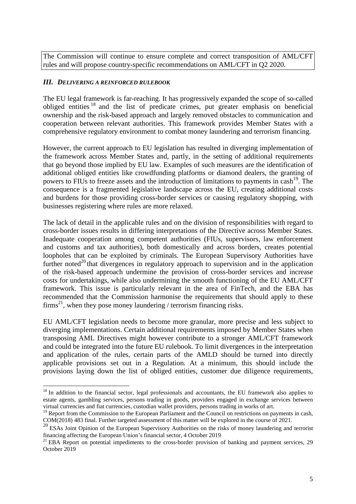The Commission will continue to ensure complete and correct transposition of AML/CFT rules and will propose country-specific recommendations on AML/CFT in Q2 2020.

### *III. DELIVERING A REINFORCED RULEBOOK*

 $\overline{a}$ 

The EU legal framework is far-reaching. It has progressively expanded the scope of so-called obliged entities <sup>18</sup> and the list of predicate crimes, put greater emphasis on beneficial ownership and the risk-based approach and largely removed obstacles to communication and cooperation between relevant authorities. This framework provides Member States with a comprehensive regulatory environment to combat money laundering and terrorism financing.

However, the current approach to EU legislation has resulted in diverging implementation of the framework across Member States and, partly, in the setting of additional requirements that go beyond those implied by EU law. Examples of such measures are the identification of additional obliged entities like crowdfunding platforms or diamond dealers, the granting of powers to FIUs to freeze assets and the introduction of limitations to payments in cash<sup>19</sup>. The consequence is a fragmented legislative landscape across the EU, creating additional costs and burdens for those providing cross-border services or causing regulatory shopping, with businesses registering where rules are more relaxed.

The lack of detail in the applicable rules and on the division of responsibilities with regard to cross-border issues results in differing interpretations of the Directive across Member States. Inadequate cooperation among competent authorities (FIUs, supervisors, law enforcement and customs and tax authorities), both domestically and across borders, creates potential loopholes that can be exploited by criminals. The European Supervisory Authorities have further noted<sup>20</sup> that divergences in regulatory approach to supervision and in the application of the risk-based approach undermine the provision of cross-border services and increase costs for undertakings, while also undermining the smooth functioning of the EU AML/CFT framework. This issue is particularly relevant in the area of FinTech, and the EBA has recommended that the Commission harmonise the requirements that should apply to these firms<sup>21</sup>, when they pose money laundering / terrorism financing risks.

EU AML/CFT legislation needs to become more granular, more precise and less subject to diverging implementations. Certain additional requirements imposed by Member States when transposing AML Directives might however contribute to a stronger AML/CFT framework and could be integrated into the future EU rulebook. To limit divergences in the interpretation and application of the rules, certain parts of the AMLD should be turned into directly applicable provisions set out in a Regulation. At a minimum, this should include the provisions laying down the list of obliged entities, customer due diligence requirements,

<sup>&</sup>lt;sup>18</sup> In addition to the financial sector, legal professionals and accountants, the EU framework also applies to estate agents, gambling services, persons trading in goods, providers engaged in exchange services between virtual currencies and fiat currencies, custodian wallet providers, persons trading in works of art.

<sup>&</sup>lt;sup>19</sup> Report from the Commission to the European Parliament and the Council on restrictions on payments in cash, COM(2018) 483 final. Further targeted assessment of this matter will be explored in the course of 2021*.*

 $^{20}$  ESAs Joint Opinion of the European Supervisory Authorities on the risks of money laundering and terrorist financing affecting the European Union's financial sector, 4 October 2019

 $21$  EBA Report on potential impediments to the cross-border provision of banking and payment services, 29 October 2019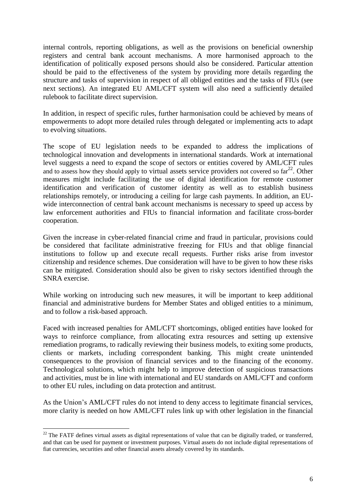internal controls, reporting obligations, as well as the provisions on beneficial ownership registers and central bank account mechanisms. A more harmonised approach to the identification of politically exposed persons should also be considered. Particular attention should be paid to the effectiveness of the system by providing more details regarding the structure and tasks of supervision in respect of all obliged entities and the tasks of FIUs (see next sections). An integrated EU AML/CFT system will also need a sufficiently detailed rulebook to facilitate direct supervision.

In addition, in respect of specific rules, further harmonisation could be achieved by means of empowerments to adopt more detailed rules through delegated or implementing acts to adapt to evolving situations.

The scope of EU legislation needs to be expanded to address the implications of technological innovation and developments in international standards. Work at international level suggests a need to expand the scope of sectors or entities covered by AML/CFT rules and to assess how they should apply to virtual assets service providers not covered so  $far<sup>22</sup>$ . Other measures might include facilitating the use of digital identification for remote customer identification and verification of customer identity as well as to establish business relationships remotely, or introducing a ceiling for large cash payments. In addition, an EUwide interconnection of central bank account mechanisms is necessary to speed up access by law enforcement authorities and FIUs to financial information and facilitate cross-border cooperation.

Given the increase in cyber-related financial crime and fraud in particular, provisions could be considered that facilitate administrative freezing for FIUs and that oblige financial institutions to follow up and execute recall requests. Further risks arise from investor citizenship and residence schemes. Due consideration will have to be given to how these risks can be mitigated. Consideration should also be given to risky sectors identified through the SNRA exercise.

While working on introducing such new measures, it will be important to keep additional financial and administrative burdens for Member States and obliged entities to a minimum, and to follow a risk-based approach.

Faced with increased penalties for AML/CFT shortcomings, obliged entities have looked for ways to reinforce compliance, from allocating extra resources and setting up extensive remediation programs, to radically reviewing their business models, to exiting some products, clients or markets, including correspondent banking. This might create unintended consequences to the provision of financial services and to the financing of the economy. Technological solutions, which might help to improve detection of suspicious transactions and activities, must be in line with international and EU standards on AML/CFT and conform to other EU rules, including on data protection and antitrust.

As the Union's AML/CFT rules do not intend to deny access to legitimate financial services, more clarity is needed on how AML/CFT rules link up with other legislation in the financial

<sup>&</sup>lt;sup>22</sup> The FATF defines virtual assets as digital representations of value that can be digitally traded, or transferred, and that can be used for payment or investment purposes. Virtual assets do not include digital representations of fiat currencies, securities and other financial assets already covered by its standards.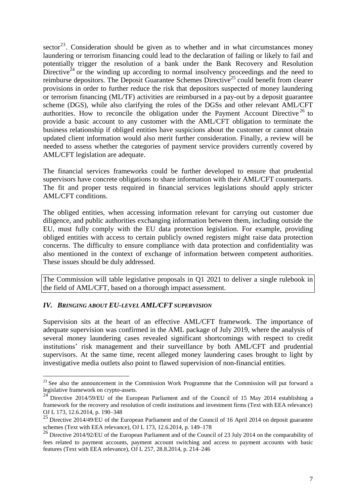sector<sup>23</sup>. Consideration should be given as to whether and in what circumstances money laundering or terrorism financing could lead to the declaration of failing or likely to fail and potentially trigger the resolution of a bank under the Bank Recovery and Resolution Directive<sup> $24$ </sup> or the winding up according to normal insolvency proceedings and the need to reimburse depositors. The Deposit Guarantee Schemes Directive<sup>25</sup> could benefit from clearer provisions in order to further reduce the risk that depositors suspected of money laundering or terrorism financing (ML/TF) activities are reimbursed in a pay-out by a deposit guarantee scheme (DGS), while also clarifying the roles of the DGSs and other relevant AML/CFT authorities. How to reconcile the obligation under the Payment Account Directive  $26$  to provide a basic account to any customer with the AML/CFT obligation to terminate the business relationship if obliged entities have suspicions about the customer or cannot obtain updated client information would also merit further consideration. Finally, a review will be needed to assess whether the categories of payment service providers currently covered by AML/CFT legislation are adequate.

The financial services frameworks could be further developed to ensure that prudential supervisors have concrete obligations to share information with their AML/CFT counterparts. The fit and proper tests required in financial services legislations should apply stricter AML/CFT conditions.

The obliged entities, when accessing information relevant for carrying out customer due diligence, and public authorities exchanging information between them, including outside the EU, must fully comply with the EU data protection legislation. For example, providing obliged entities with access to certain publicly owned registers might raise data protection concerns. The difficulty to ensure compliance with data protection and confidentiality was also mentioned in the context of exchange of information between competent authorities. These issues should be duly addressed.

The Commission will table legislative proposals in Q1 2021 to deliver a single rulebook in the field of AML/CFT, based on a thorough impact assessment.

#### *IV. BRINGING ABOUT EU-LEVEL AML/CFT SUPERVISION*

 $\overline{a}$ 

Supervision sits at the heart of an effective AML/CFT framework. The importance of adequate supervision was confirmed in the AML package of July 2019, where the analysis of several money laundering cases revealed significant shortcomings with respect to credit institutions' risk management and their surveillance by both AML/CFT and prudential supervisors. At the same time, recent alleged money laundering cases brought to light by investigative media outlets also point to flawed supervision of non-financial entities.

<sup>&</sup>lt;sup>23</sup> See also the announcement in the Commission Work Programme that the Commission will put forward a legislative framework on crypto-assets.

 $24$  Directive 2014/59/EU of the European Parliament and of the Council of 15 May 2014 establishing a framework for the recovery and resolution of credit institutions and investment firms (Text with EEA relevance) OJ L 173, 12.6.2014, p. 190–348

<sup>&</sup>lt;sup>25</sup> Directive 2014/49/EU of the European Parliament and of the Council of 16 April 2014 on deposit guarantee schemes (Text with EEA relevance), OJ L 173, 12.6.2014, p. 149–178

<sup>&</sup>lt;sup>26</sup> Directive 2014/92/EU of the European Parliament and of the Council of 23 July 2014 on the comparability of fees related to payment accounts, payment account switching and access to payment accounts with basic features (Text with EEA relevance), OJ L 257, 28.8.2014, p. 214–246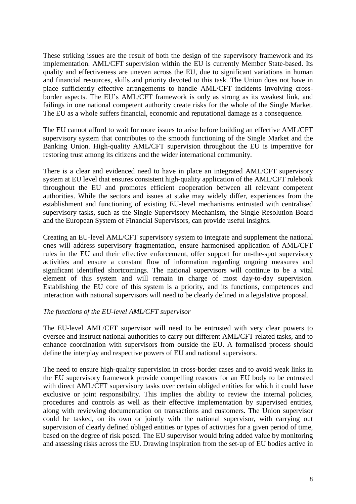These striking issues are the result of both the design of the supervisory framework and its implementation. AML/CFT supervision within the EU is currently Member State-based. Its quality and effectiveness are uneven across the EU, due to significant variations in human and financial resources, skills and priority devoted to this task. The Union does not have in place sufficiently effective arrangements to handle AML/CFT incidents involving crossborder aspects. The EU's AML/CFT framework is only as strong as its weakest link, and failings in one national competent authority create risks for the whole of the Single Market. The EU as a whole suffers financial, economic and reputational damage as a consequence.

The EU cannot afford to wait for more issues to arise before building an effective AML/CFT supervisory system that contributes to the smooth functioning of the Single Market and the Banking Union. High-quality AML/CFT supervision throughout the EU is imperative for restoring trust among its citizens and the wider international community.

There is a clear and evidenced need to have in place an integrated AML/CFT supervisory system at EU level that ensures consistent high-quality application of the AML/CFT rulebook throughout the EU and promotes efficient cooperation between all relevant competent authorities. While the sectors and issues at stake may widely differ, experiences from the establishment and functioning of existing EU-level mechanisms entrusted with centralised supervisory tasks, such as the Single Supervisory Mechanism, the Single Resolution Board and the European System of Financial Supervisors, can provide useful insights.

Creating an EU-level AML/CFT supervisory system to integrate and supplement the national ones will address supervisory fragmentation, ensure harmonised application of AML/CFT rules in the EU and their effective enforcement, offer support for on-the-spot supervisory activities and ensure a constant flow of information regarding ongoing measures and significant identified shortcomings. The national supervisors will continue to be a vital element of this system and will remain in charge of most day-to-day supervision. Establishing the EU core of this system is a priority, and its functions, competences and interaction with national supervisors will need to be clearly defined in a legislative proposal.

#### *The functions of the EU-level AML/CFT supervisor*

The EU-level AML/CFT supervisor will need to be entrusted with very clear powers to oversee and instruct national authorities to carry out different AML/CFT related tasks, and to enhance coordination with supervisors from outside the EU. A formalised process should define the interplay and respective powers of EU and national supervisors.

The need to ensure high-quality supervision in cross-border cases and to avoid weak links in the EU supervisory framework provide compelling reasons for an EU body to be entrusted with direct AML/CFT supervisory tasks over certain obliged entities for which it could have exclusive or joint responsibility. This implies the ability to review the internal policies, procedures and controls as well as their effective implementation by supervised entities, along with reviewing documentation on transactions and customers. The Union supervisor could be tasked, on its own or jointly with the national supervisor, with carrying out supervision of clearly defined obliged entities or types of activities for a given period of time, based on the degree of risk posed. The EU supervisor would bring added value by monitoring and assessing risks across the EU. Drawing inspiration from the set-up of EU bodies active in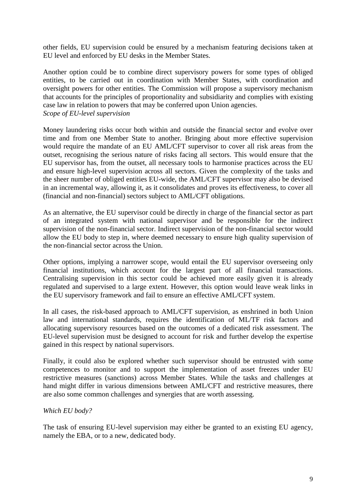other fields, EU supervision could be ensured by a mechanism featuring decisions taken at EU level and enforced by EU desks in the Member States.

Another option could be to combine direct supervisory powers for some types of obliged entities, to be carried out in coordination with Member States, with coordination and oversight powers for other entities. The Commission will propose a supervisory mechanism that accounts for the principles of proportionality and subsidiarity and complies with existing case law in relation to powers that may be conferred upon Union agencies. *Scope of EU-level supervision*

Money laundering risks occur both within and outside the financial sector and evolve over time and from one Member State to another. Bringing about more effective supervision would require the mandate of an EU AML/CFT supervisor to cover all risk areas from the outset, recognising the serious nature of risks facing all sectors. This would ensure that the EU supervisor has, from the outset, all necessary tools to harmonise practices across the EU and ensure high-level supervision across all sectors. Given the complexity of the tasks and the sheer number of obliged entities EU-wide, the AML/CFT supervisor may also be devised in an incremental way, allowing it, as it consolidates and proves its effectiveness, to cover all (financial and non-financial) sectors subject to AML/CFT obligations.

As an alternative, the EU supervisor could be directly in charge of the financial sector as part of an integrated system with national supervisor and be responsible for the indirect supervision of the non-financial sector. Indirect supervision of the non-financial sector would allow the EU body to step in, where deemed necessary to ensure high quality supervision of the non-financial sector across the Union.

Other options, implying a narrower scope, would entail the EU supervisor overseeing only financial institutions, which account for the largest part of all financial transactions. Centralising supervision in this sector could be achieved more easily given it is already regulated and supervised to a large extent. However, this option would leave weak links in the EU supervisory framework and fail to ensure an effective AML/CFT system.

In all cases, the risk-based approach to AML/CFT supervision, as enshrined in both Union law and international standards, requires the identification of ML/TF risk factors and allocating supervisory resources based on the outcomes of a dedicated risk assessment. The EU-level supervision must be designed to account for risk and further develop the expertise gained in this respect by national supervisors.

Finally, it could also be explored whether such supervisor should be entrusted with some competences to monitor and to support the implementation of asset freezes under EU restrictive measures (sanctions) across Member States. While the tasks and challenges at hand might differ in various dimensions between AML/CFT and restrictive measures, there are also some common challenges and synergies that are worth assessing.

# *Which EU body?*

The task of ensuring EU-level supervision may either be granted to an existing EU agency, namely the EBA, or to a new, dedicated body.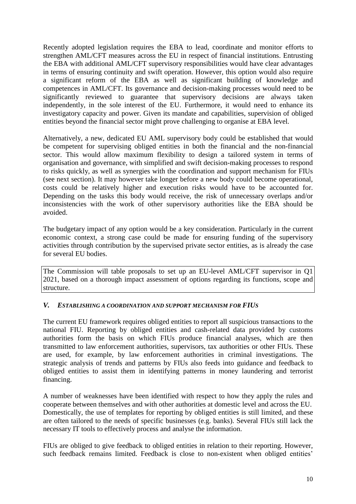Recently adopted legislation requires the EBA to lead, coordinate and monitor efforts to strengthen AML/CFT measures across the EU in respect of financial institutions. Entrusting the EBA with additional AML/CFT supervisory responsibilities would have clear advantages in terms of ensuring continuity and swift operation. However, this option would also require a significant reform of the EBA as well as significant building of knowledge and competences in AML/CFT. Its governance and decision-making processes would need to be significantly reviewed to guarantee that supervisory decisions are always taken independently, in the sole interest of the EU. Furthermore, it would need to enhance its investigatory capacity and power. Given its mandate and capabilities, supervision of obliged entities beyond the financial sector might prove challenging to organise at EBA level.

Alternatively, a new, dedicated EU AML supervisory body could be established that would be competent for supervising obliged entities in both the financial and the non-financial sector. This would allow maximum flexibility to design a tailored system in terms of organisation and governance, with simplified and swift decision-making processes to respond to risks quickly, as well as synergies with the coordination and support mechanism for FIUs (see next section). It may however take longer before a new body could become operational, costs could be relatively higher and execution risks would have to be accounted for. Depending on the tasks this body would receive, the risk of unnecessary overlaps and/or inconsistencies with the work of other supervisory authorities like the EBA should be avoided.

The budgetary impact of any option would be a key consideration. Particularly in the current economic context, a strong case could be made for ensuring funding of the supervisory activities through contribution by the supervised private sector entities, as is already the case for several EU bodies.

The Commission will table proposals to set up an EU-level AML/CFT supervisor in Q1 2021, based on a thorough impact assessment of options regarding its functions, scope and structure.

#### *V. ESTABLISHING A COORDINATION AND SUPPORT MECHANISM FOR FIUS*

The current EU framework requires obliged entities to report all suspicious transactions to the national FIU. Reporting by obliged entities and cash-related data provided by customs authorities form the basis on which FIUs produce financial analyses, which are then transmitted to law enforcement authorities, supervisors, tax authorities or other FIUs. These are used, for example, by law enforcement authorities in criminal investigations. The strategic analysis of trends and patterns by FIUs also feeds into guidance and feedback to obliged entities to assist them in identifying patterns in money laundering and terrorist financing.

A number of weaknesses have been identified with respect to how they apply the rules and cooperate between themselves and with other authorities at domestic level and across the EU. Domestically, the use of templates for reporting by obliged entities is still limited, and these are often tailored to the needs of specific businesses (e.g. banks). Several FIUs still lack the necessary IT tools to effectively process and analyse the information.

FIUs are obliged to give feedback to obliged entities in relation to their reporting. However, such feedback remains limited. Feedback is close to non-existent when obliged entities'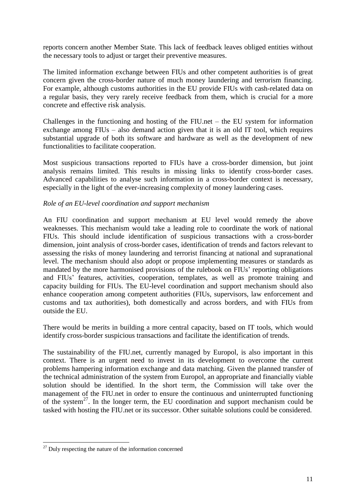reports concern another Member State. This lack of feedback leaves obliged entities without the necessary tools to adjust or target their preventive measures.

The limited information exchange between FIUs and other competent authorities is of great concern given the cross-border nature of much money laundering and terrorism financing. For example, although customs authorities in the EU provide FIUs with cash-related data on a regular basis, they very rarely receive feedback from them, which is crucial for a more concrete and effective risk analysis.

Challenges in the functioning and hosting of the FIU.net – the EU system for information exchange among FIUs – also demand action given that it is an old IT tool, which requires substantial upgrade of both its software and hardware as well as the development of new functionalities to facilitate cooperation.

Most suspicious transactions reported to FIUs have a cross-border dimension, but joint analysis remains limited. This results in missing links to identify cross-border cases. Advanced capabilities to analyse such information in a cross-border context is necessary, especially in the light of the ever-increasing complexity of money laundering cases.

### *Role of an EU-level coordination and support mechanism*

An FIU coordination and support mechanism at EU level would remedy the above weaknesses. This mechanism would take a leading role to coordinate the work of national FIUs. This should include identification of suspicious transactions with a cross-border dimension, joint analysis of cross-border cases, identification of trends and factors relevant to assessing the risks of money laundering and terrorist financing at national and supranational level. The mechanism should also adopt or propose implementing measures or standards as mandated by the more harmonised provisions of the rulebook on FIUs' reporting obligations and FIUs' features, activities, cooperation, templates, as well as promote training and capacity building for FIUs. The EU-level coordination and support mechanism should also enhance cooperation among competent authorities (FIUs, supervisors, law enforcement and customs and tax authorities), both domestically and across borders, and with FIUs from outside the EU.

There would be merits in building a more central capacity, based on IT tools, which would identify cross-border suspicious transactions and facilitate the identification of trends.

The sustainability of the FIU.net, currently managed by Europol, is also important in this context. There is an urgent need to invest in its development to overcome the current problems hampering information exchange and data matching. Given the planned transfer of the technical administration of the system from Europol, an appropriate and financially viable solution should be identified. In the short term, the Commission will take over the management of the FIU.net in order to ensure the continuous and uninterrupted functioning of the system<sup>27</sup>. In the longer term, the EU coordination and support mechanism could be tasked with hosting the FIU.net or its successor. Other suitable solutions could be considered.

 $\overline{a}$  $27$  Duly respecting the nature of the information concerned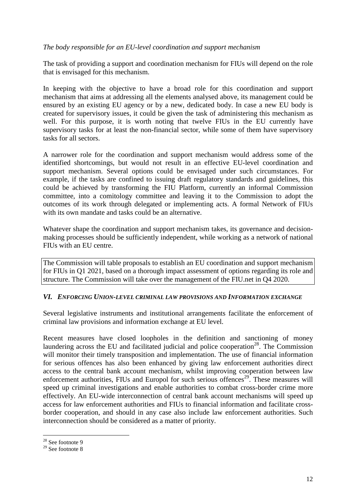### *The body responsible for an EU-level coordination and support mechanism*

The task of providing a support and coordination mechanism for FIUs will depend on the role that is envisaged for this mechanism.

In keeping with the objective to have a broad role for this coordination and support mechanism that aims at addressing all the elements analysed above, its management could be ensured by an existing EU agency or by a new, dedicated body. In case a new EU body is created for supervisory issues, it could be given the task of administering this mechanism as well. For this purpose, it is worth noting that twelve FIUs in the EU currently have supervisory tasks for at least the non-financial sector, while some of them have supervisory tasks for all sectors.

A narrower role for the coordination and support mechanism would address some of the identified shortcomings, but would not result in an effective EU-level coordination and support mechanism. Several options could be envisaged under such circumstances. For example, if the tasks are confined to issuing draft regulatory standards and guidelines, this could be achieved by transforming the FIU Platform, currently an informal Commission committee, into a comitology committee and leaving it to the Commission to adopt the outcomes of its work through delegated or implementing acts. A formal Network of FIUs with its own mandate and tasks could be an alternative.

Whatever shape the coordination and support mechanism takes, its governance and decisionmaking processes should be sufficiently independent, while working as a network of national FIUs with an EU centre.

The Commission will table proposals to establish an EU coordination and support mechanism for FIUs in Q1 2021, based on a thorough impact assessment of options regarding its role and structure. The Commission will take over the management of the FIU.net in Q4 2020.

#### *VI. ENFORCING UNION-LEVEL CRIMINAL LAW PROVISIONS AND INFORMATION EXCHANGE*

Several legislative instruments and institutional arrangements facilitate the enforcement of criminal law provisions and information exchange at EU level.

Recent measures have closed loopholes in the definition and sanctioning of money laundering across the EU and facilitated judicial and police cooperation<sup>28</sup>. The Commission will monitor their timely transposition and implementation. The use of financial information for serious offences has also been enhanced by giving law enforcement authorities direct access to the central bank account mechanism, whilst improving cooperation between law enforcement authorities, FIUs and Europol for such serious offences<sup>29</sup>. These measures will speed up criminal investigations and enable authorities to combat cross-border crime more effectively. An EU-wide interconnection of central bank account mechanisms will speed up access for law enforcement authorities and FIUs to financial information and facilitate crossborder cooperation, and should in any case also include law enforcement authorities. Such interconnection should be considered as a matter of priority.

 $\overline{a}$  $28$  See footnote 9

 $29$  See footnote 8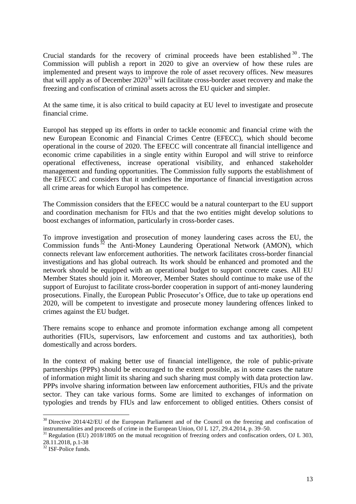Crucial standards for the recovery of criminal proceeds have been established  $30$ . The Commission will publish a report in 2020 to give an overview of how these rules are implemented and present ways to improve the role of asset recovery offices. New measures that will apply as of December  $2020^{31}$  will facilitate cross-border asset recovery and make the freezing and confiscation of criminal assets across the EU quicker and simpler.

At the same time, it is also critical to build capacity at EU level to investigate and prosecute financial crime.

Europol has stepped up its efforts in order to tackle economic and financial crime with the new European Economic and Financial Crimes Centre (EFECC), which should become operational in the course of 2020. The EFECC will concentrate all financial intelligence and economic crime capabilities in a single entity within Europol and will strive to reinforce operational effectiveness, increase operational visibility, and enhanced stakeholder management and funding opportunities. The Commission fully supports the establishment of the EFECC and considers that it underlines the importance of financial investigation across all crime areas for which Europol has competence.

The Commission considers that the EFECC would be a natural counterpart to the EU support and coordination mechanism for FIUs and that the two entities might develop solutions to boost exchanges of information, particularly in cross-border cases.

To improve investigation and prosecution of money laundering cases across the EU, the Commission funds  $32$  the Anti-Money Laundering Operational Network (AMON), which connects relevant law enforcement authorities. The network facilitates cross-border financial investigations and has global outreach. Its work should be enhanced and promoted and the network should be equipped with an operational budget to support concrete cases. All EU Member States should join it. Moreover, Member States should continue to make use of the support of Eurojust to facilitate cross-border cooperation in support of anti-money laundering prosecutions. Finally, the European Public Prosecutor's Office, due to take up operations end 2020, will be competent to investigate and prosecute money laundering offences linked to crimes against the EU budget.

There remains scope to enhance and promote information exchange among all competent authorities (FIUs, supervisors, law enforcement and customs and tax authorities), both domestically and across borders.

In the context of making better use of financial intelligence, the role of public-private partnerships (PPPs) should be encouraged to the extent possible, as in some cases the nature of information might limit its sharing and such sharing must comply with data protection law. PPPs involve sharing information between law enforcement authorities, FIUs and the private sector. They can take various forms. Some are limited to exchanges of information on typologies and trends by FIUs and law enforcement to obliged entities. Others consist of

 $\overline{a}$ <sup>30</sup> Directive 2014/42/EU of the European Parliament and of the Council on the freezing and confiscation of instrumentalities and proceeds of crime in the European Union, OJ L 127, 29.4.2014, p. 39–50.

<sup>&</sup>lt;sup>31</sup> Regulation (EU) 2018/1805 on the mutual recognition of freezing orders and confiscation orders, OJ L 303, 28.11.2018, p.1-38

<sup>&</sup>lt;sup>32</sup> ISF-Police funds.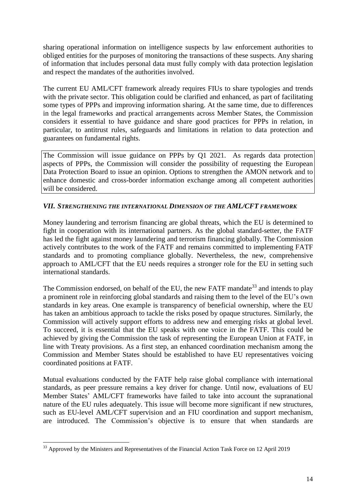sharing operational information on intelligence suspects by law enforcement authorities to obliged entities for the purposes of monitoring the transactions of these suspects. Any sharing of information that includes personal data must fully comply with data protection legislation and respect the mandates of the authorities involved.

The current EU AML/CFT framework already requires FIUs to share typologies and trends with the private sector. This obligation could be clarified and enhanced, as part of facilitating some types of PPPs and improving information sharing. At the same time, due to differences in the legal frameworks and practical arrangements across Member States, the Commission considers it essential to have guidance and share good practices for PPPs in relation, in particular, to antitrust rules, safeguards and limitations in relation to data protection and guarantees on fundamental rights.

The Commission will issue guidance on PPPs by Q1 2021. As regards data protection aspects of PPPs, the Commission will consider the possibility of requesting the European Data Protection Board to issue an opinion. Options to strengthen the AMON network and to enhance domestic and cross-border information exchange among all competent authorities will be considered.

# *VII. STRENGTHENING THE INTERNATIONAL DIMENSION OF THE AML/CFT FRAMEWORK*

Money laundering and terrorism financing are global threats, which the EU is determined to fight in cooperation with its international partners. As the global standard-setter, the FATF has led the fight against money laundering and terrorism financing globally. The Commission actively contributes to the work of the FATF and remains committed to implementing FATF standards and to promoting compliance globally. Nevertheless, the new, comprehensive approach to AML/CFT that the EU needs requires a stronger role for the EU in setting such international standards.

The Commission endorsed, on behalf of the EU, the new FATF mandate<sup>33</sup> and intends to play a prominent role in reinforcing global standards and raising them to the level of the EU's own standards in key areas. One example is transparency of beneficial ownership, where the EU has taken an ambitious approach to tackle the risks posed by opaque structures. Similarly, the Commission will actively support efforts to address new and emerging risks at global level. To succeed, it is essential that the EU speaks with one voice in the FATF. This could be achieved by giving the Commission the task of representing the European Union at FATF, in line with Treaty provisions. As a first step, an enhanced coordination mechanism among the Commission and Member States should be established to have EU representatives voicing coordinated positions at FATF.

Mutual evaluations conducted by the FATF help raise global compliance with international standards, as peer pressure remains a key driver for change. Until now, evaluations of EU Member States' AML/CFT frameworks have failed to take into account the supranational nature of the EU rules adequately. This issue will become more significant if new structures, such as EU-level AML/CFT supervision and an FIU coordination and support mechanism, are introduced. The Commission's objective is to ensure that when standards are

 $\overline{a}$ <sup>33</sup> Approved by the Ministers and Representatives of the Financial Action Task Force on 12 April 2019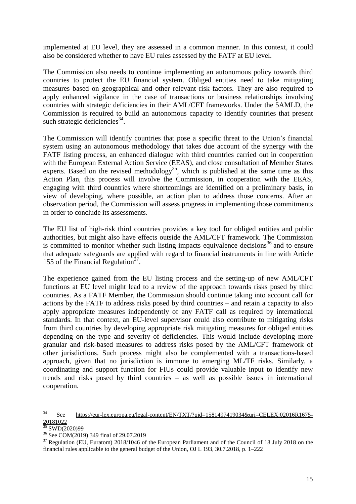implemented at EU level, they are assessed in a common manner. In this context, it could also be considered whether to have EU rules assessed by the FATF at EU level.

The Commission also needs to continue implementing an autonomous policy towards third countries to protect the EU financial system. Obliged entities need to take mitigating measures based on geographical and other relevant risk factors. They are also required to apply enhanced vigilance in the case of transactions or business relationships involving countries with strategic deficiencies in their AML/CFT frameworks. Under the 5AMLD, the Commission is required to build an autonomous capacity to identify countries that present such strategic deficiencies $^{34}$ .

The Commission will identify countries that pose a specific threat to the Union's financial system using an autonomous methodology that takes due account of the synergy with the FATF listing process, an enhanced dialogue with third countries carried out in cooperation with the European External Action Service (EEAS), and close consultation of Member States experts. Based on the revised methodology<sup>35</sup>, which is published at the same time as this Action Plan, this process will involve the Commission, in cooperation with the EEAS, engaging with third countries where shortcomings are identified on a preliminary basis, in view of developing, where possible, an action plan to address those concerns. After an observation period, the Commission will assess progress in implementing those commitments in order to conclude its assessments.

The EU list of high-risk third countries provides a key tool for obliged entities and public authorities, but might also have effects outside the AML/CFT framework. The Commission is committed to monitor whether such listing impacts equivalence decisions<sup>36</sup> and to ensure that adequate safeguards are applied with regard to financial instruments in line with Article 155 of the Financial Regulation $37$ .

The experience gained from the EU listing process and the setting-up of new AML/CFT functions at EU level might lead to a review of the approach towards risks posed by third countries. As a FATF Member, the Commission should continue taking into account call for actions by the FATF to address risks posed by third countries – and retain a capacity to also apply appropriate measures independently of any FATF call as required by international standards. In that context, an EU-level supervisor could also contribute to mitigating risks from third countries by developing appropriate risk mitigating measures for obliged entities depending on the type and severity of deficiencies. This would include developing more granular and risk-based measures to address risks posed by the AML/CFT framework of other jurisdictions. Such process might also be complemented with a transactions-based approach, given that no jurisdiction is immune to emerging ML/TF risks. Similarly, a coordinating and support function for FIUs could provide valuable input to identify new trends and risks posed by third countries – as well as possible issues in international cooperation.

<sup>34</sup> <sup>34</sup> See [https://eur-lex.europa.eu/legal-content/EN/TXT/?qid=1581497419034&uri=CELEX:02016R1675-](https://eur-lex.europa.eu/legal-content/EN/TXT/?qid=1581497419034&uri=CELEX:02016R1675-20181022) [20181022](https://eur-lex.europa.eu/legal-content/EN/TXT/?qid=1581497419034&uri=CELEX:02016R1675-20181022)

<sup>&</sup>lt;sup>35</sup> SWD(2020)99

<sup>36</sup> See COM(2019) 349 final of 29.07.2019

<sup>&</sup>lt;sup>37</sup> Regulation (EU, Euratom) 2018/1046 of the European Parliament and of the Council of 18 July 2018 on the financial rules applicable to the general budget of the Union, OJ L 193, 30.7.2018, p. 1–222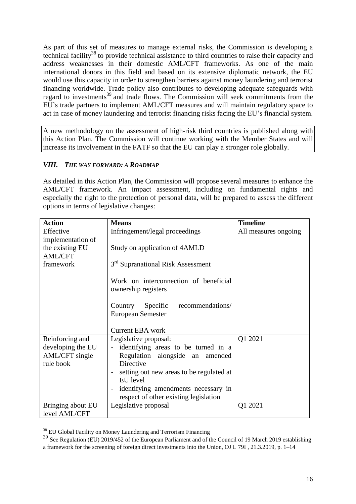As part of this set of measures to manage external risks, the Commission is developing a technical facility<sup>38</sup> to provide technical assistance to third countries to raise their capacity and address weaknesses in their domestic AML/CFT frameworks. As one of the main international donors in this field and based on its extensive diplomatic network, the EU would use this capacity in order to strengthen barriers against money laundering and terrorist financing worldwide. Trade policy also contributes to developing adequate safeguards with regard to investments<sup>39</sup> and trade flows. The Commission will seek commitments from the EU's trade partners to implement AML/CFT measures and will maintain regulatory space to act in case of money laundering and terrorist financing risks facing the EU's financial system.

A new methodology on the assessment of high-risk third countries is published along with this Action Plan. The Commission will continue working with the Member States and will increase its involvement in the FATF so that the EU can play a stronger role globally.

# *VIII. THE WAY FORWARD: A ROADMAP*

As detailed in this Action Plan, the Commission will propose several measures to enhance the AML/CFT framework. An impact assessment, including on fundamental rights and especially the right to the protection of personal data, will be prepared to assess the different options in terms of legislative changes:

| <b>Action</b>                                                       | <b>Means</b>                                                                                                                                                                                                                                                                        | <b>Timeline</b>      |
|---------------------------------------------------------------------|-------------------------------------------------------------------------------------------------------------------------------------------------------------------------------------------------------------------------------------------------------------------------------------|----------------------|
| Effective<br>implementation of                                      | Infringement/legal proceedings                                                                                                                                                                                                                                                      | All measures ongoing |
| the existing EU<br><b>AML/CFT</b>                                   | Study on application of 4AMLD                                                                                                                                                                                                                                                       |                      |
| framework                                                           | 3 <sup>rd</sup> Supranational Risk Assessment                                                                                                                                                                                                                                       |                      |
|                                                                     | Work on interconnection of beneficial<br>ownership registers                                                                                                                                                                                                                        |                      |
|                                                                     | Specific<br>recommendations/<br>Country<br><b>European Semester</b>                                                                                                                                                                                                                 |                      |
|                                                                     | <b>Current EBA</b> work                                                                                                                                                                                                                                                             |                      |
| Reinforcing and<br>developing the EU<br>AML/CFT single<br>rule book | Legislative proposal:<br>identifying areas to be turned in a<br>$\overline{\phantom{a}}$<br>Regulation alongside an<br>amended<br>Directive<br>setting out new areas to be regulated at<br>EU level<br>identifying amendments necessary in<br>respect of other existing legislation | Q1 2021              |
| Bringing about EU<br>level AML/CFT                                  | Legislative proposal                                                                                                                                                                                                                                                                | Q1 2021              |

 $\overline{a}$  $38$  EU Global Facility on Money Laundering and Terrorism Financing

<sup>&</sup>lt;sup>39</sup> See Regulation (EU) 2019/452 of the European Parliament and of the Council of 19 March 2019 establishing a framework for the screening of foreign direct investments into the Union, OJ L 79I , 21.3.2019, p. 1–14